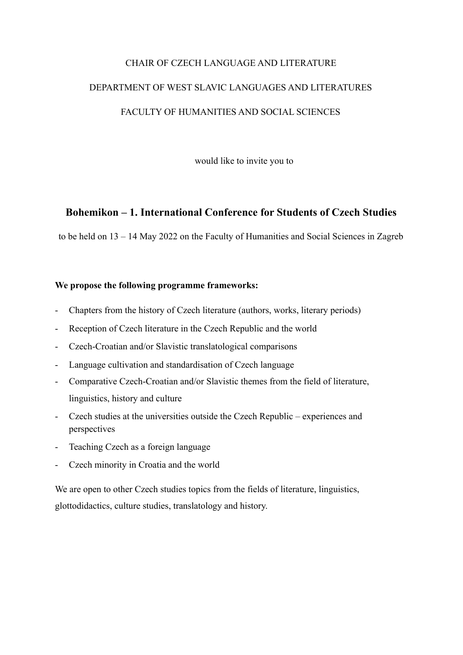# CHAIR OF CZECH LANGUAGE AND LITERATURE DEPARTMENT OF WEST SLAVIC LANGUAGES AND LITERATURES FACULTY OF HUMANITIES AND SOCIAL SCIENCES

would like to invite you to

# **Bohemikon – 1. International Conference for Students of Czech Studies**

to be held on 13 – 14 May 2022 on the Faculty of Humanities and Social Sciences in Zagreb

# **We propose the following programme frameworks:**

- Chapters from the history of Czech literature (authors, works, literary periods)
- Reception of Czech literature in the Czech Republic and the world
- Czech-Croatian and/or Slavistic translatological comparisons
- Language cultivation and standardisation of Czech language
- Comparative Czech-Croatian and/or Slavistic themes from the field of literature, linguistics, history and culture
- Czech studies at the universities outside the Czech Republic experiences and perspectives
- Teaching Czech as a foreign language
- Czech minority in Croatia and the world

We are open to other Czech studies topics from the fields of literature, linguistics, glottodidactics, culture studies, translatology and history.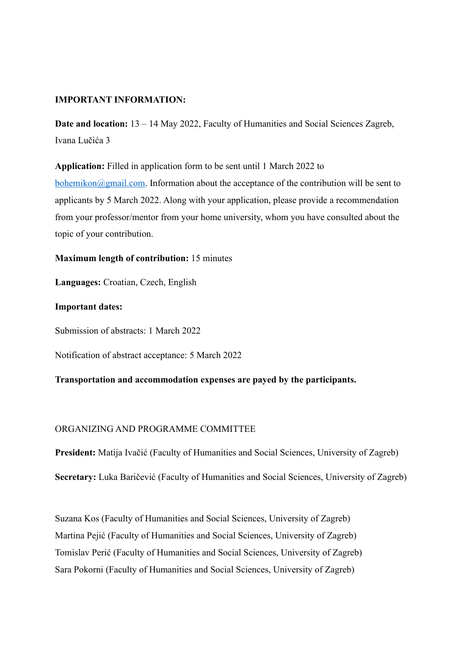#### **IMPORTANT INFORMATION:**

**Date and location:** 13 – 14 May 2022, Faculty of Humanities and Social Sciences Zagreb, Ivana Lučića 3

**Application:** Filled in application form to be sent until 1 March 2022 to

[bohemikon@gmail.com.](mailto:bohemikon@gmail.com) Information about the acceptance of the contribution will be sent to applicants by 5 March 2022. Along with your application, please provide a recommendation from your professor/mentor from your home university, whom you have consulted about the topic of your contribution.

#### **Maximum length of contribution:** 15 minutes

**Languages:** Croatian, Czech, English

#### **Important dates:**

Submission of abstracts: 1 March 2022

Notification of abstract acceptance: 5 March 2022

# **Transportation and accommodation expenses are payed by the participants.**

# ORGANIZING AND PROGRAMME COMMITTEE

**President:** Matija Ivačić (Faculty of Humanities and Social Sciences, University of Zagreb)

**Secretary:** Luka Baričević (Faculty of Humanities and Social Sciences, University of Zagreb)

Suzana Kos (Faculty of Humanities and Social Sciences, University of Zagreb) Martina Pejić (Faculty of Humanities and Social Sciences, University of Zagreb) Tomislav Perić (Faculty of Humanities and Social Sciences, University of Zagreb) Sara Pokorni (Faculty of Humanities and Social Sciences, University of Zagreb)